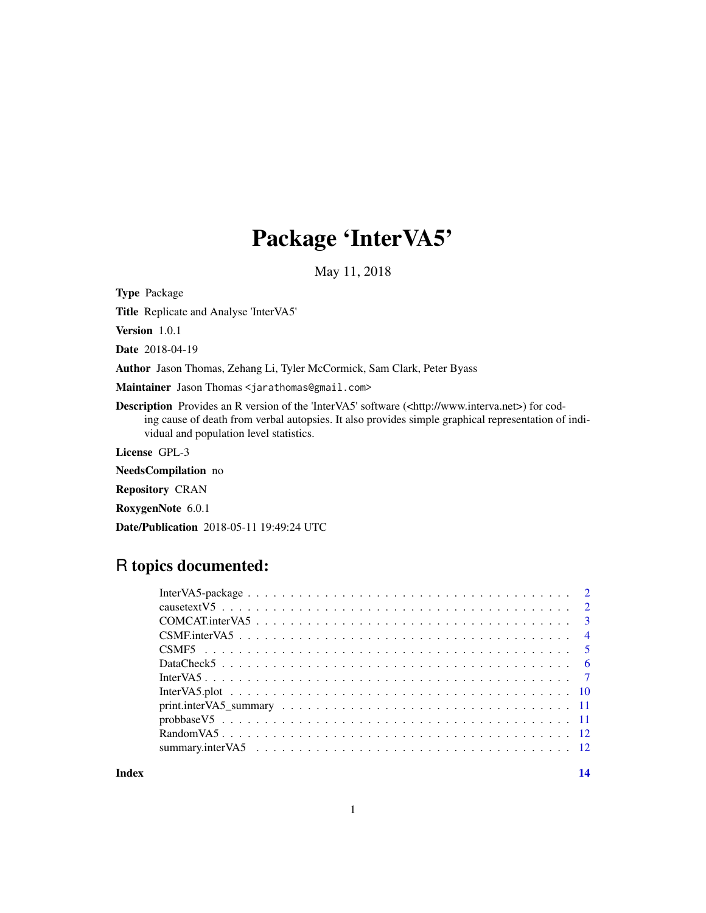# Package 'InterVA5'

May 11, 2018

<span id="page-0-0"></span>Type Package

Title Replicate and Analyse 'InterVA5'

Version 1.0.1

Date 2018-04-19

Author Jason Thomas, Zehang Li, Tyler McCormick, Sam Clark, Peter Byass

Maintainer Jason Thomas <jarathomas@gmail.com>

Description Provides an R version of the 'InterVA5' software (<http://www.interva.net>) for coding cause of death from verbal autopsies. It also provides simple graphical representation of individual and population level statistics.

License GPL-3

NeedsCompilation no

Repository CRAN

RoxygenNote 6.0.1

Date/Publication 2018-05-11 19:49:24 UTC

# R topics documented:

**Index** 2008 **[14](#page-13-0)**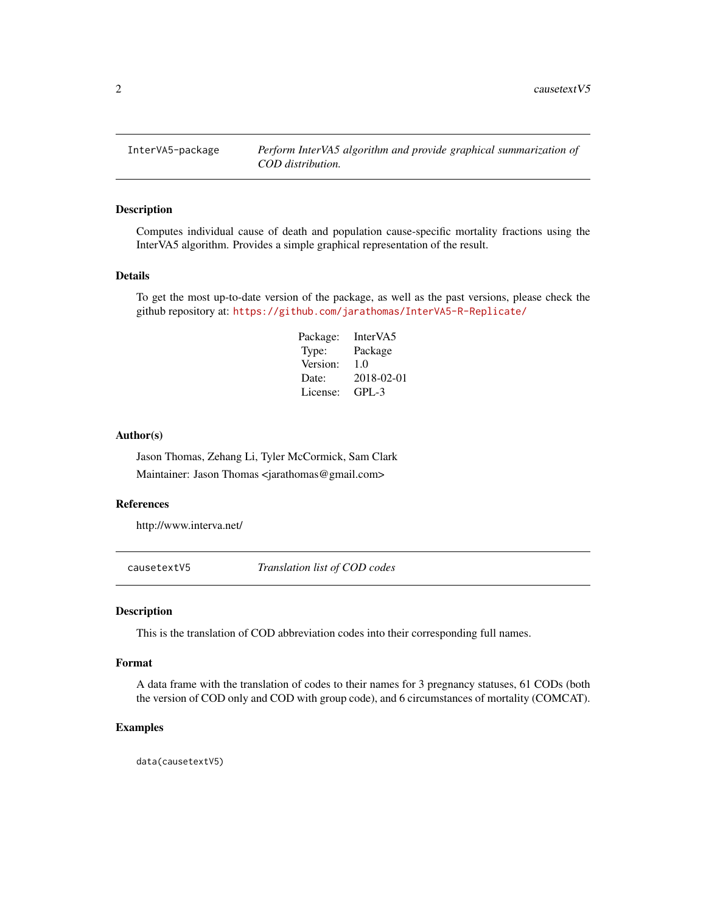<span id="page-1-0"></span>InterVA5-package *Perform InterVA5 algorithm and provide graphical summarization of COD distribution.*

# Description

Computes individual cause of death and population cause-specific mortality fractions using the InterVA5 algorithm. Provides a simple graphical representation of the result.

# Details

To get the most up-to-date version of the package, as well as the past versions, please check the github repository at: <https://github.com/jarathomas/InterVA5-R-Replicate/>

> Package: InterVA5 Type: Package Version: 1.0 Date: 2018-02-01 License: GPL-3

#### Author(s)

Jason Thomas, Zehang Li, Tyler McCormick, Sam Clark Maintainer: Jason Thomas <jarathomas@gmail.com>

#### References

http://www.interva.net/

causetextV5 *Translation list of COD codes*

#### Description

This is the translation of COD abbreviation codes into their corresponding full names.

#### Format

A data frame with the translation of codes to their names for 3 pregnancy statuses, 61 CODs (both the version of COD only and COD with group code), and 6 circumstances of mortality (COMCAT).

#### Examples

data(causetextV5)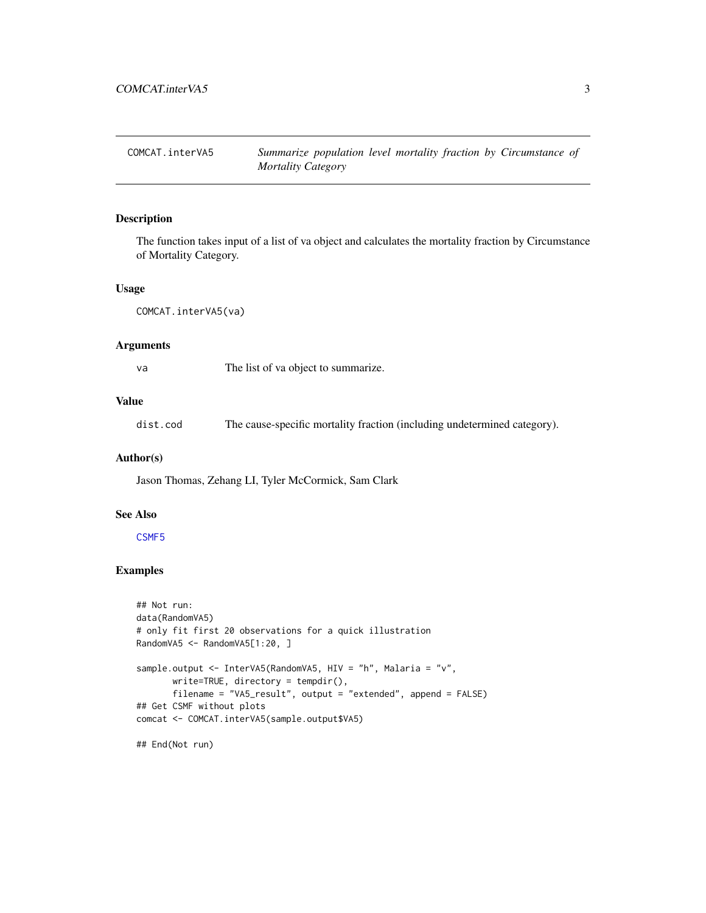<span id="page-2-0"></span>COMCAT.interVA5 *Summarize population level mortality fraction by Circumstance of Mortality Category*

#### Description

The function takes input of a list of va object and calculates the mortality fraction by Circumstance of Mortality Category.

#### Usage

COMCAT.interVA5(va)

#### Arguments

va The list of va object to summarize.

# Value

dist.cod The cause-specific mortality fraction (including undetermined category).

#### Author(s)

Jason Thomas, Zehang LI, Tyler McCormick, Sam Clark

#### See Also

#### [CSMF5](#page-4-1)

# Examples

```
## Not run:
data(RandomVA5)
# only fit first 20 observations for a quick illustration
RandomVA5 <- RandomVA5[1:20, ]
sample.output <- InterVA5(RandomVA5, HIV = "h", Malaria = "v",
       write=TRUE, directory = tempdir(),
       filename = "VA5_result", output = "extended", append = FALSE)
## Get CSMF without plots
comcat <- COMCAT.interVA5(sample.output$VA5)
```
## End(Not run)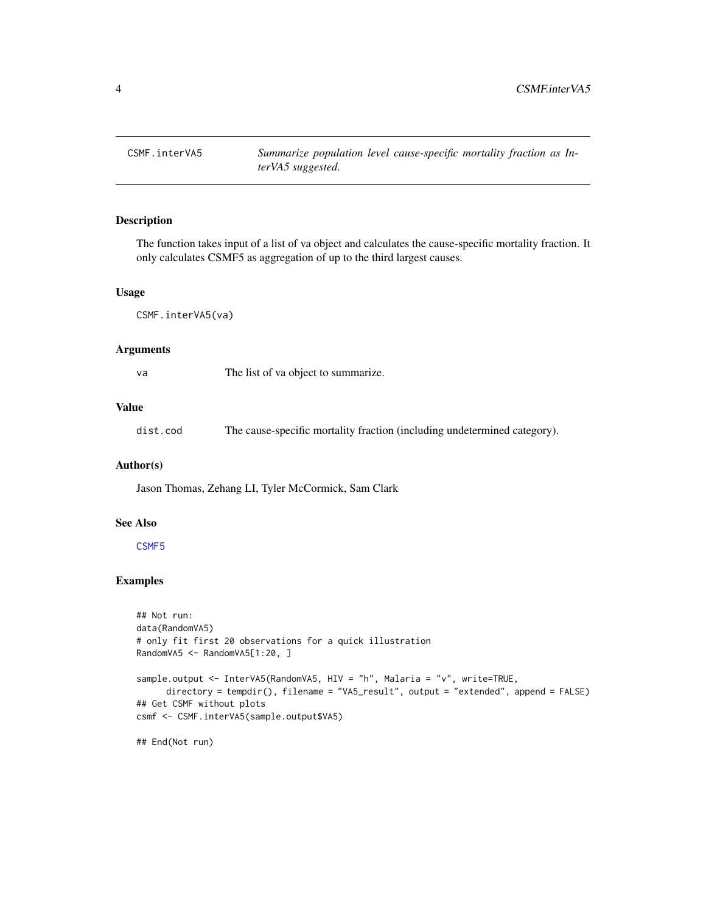<span id="page-3-1"></span><span id="page-3-0"></span>

The function takes input of a list of va object and calculates the cause-specific mortality fraction. It only calculates CSMF5 as aggregation of up to the third largest causes.

#### Usage

CSMF.interVA5(va)

#### Arguments

| va | The list of va object to summarize. |  |
|----|-------------------------------------|--|
|----|-------------------------------------|--|

#### Value

dist.cod The cause-specific mortality fraction (including undetermined category).

#### Author(s)

Jason Thomas, Zehang LI, Tyler McCormick, Sam Clark

#### See Also

[CSMF5](#page-4-1)

#### Examples

```
## Not run:
data(RandomVA5)
# only fit first 20 observations for a quick illustration
RandomVA5 <- RandomVA5[1:20, ]
sample.output <- InterVA5(RandomVA5, HIV = "h", Malaria = "v", write=TRUE,
     directory = tempdir(), filename = "VA5_result", output = "extended", append = FALSE)
## Get CSMF without plots
csmf <- CSMF.interVA5(sample.output$VA5)
## End(Not run)
```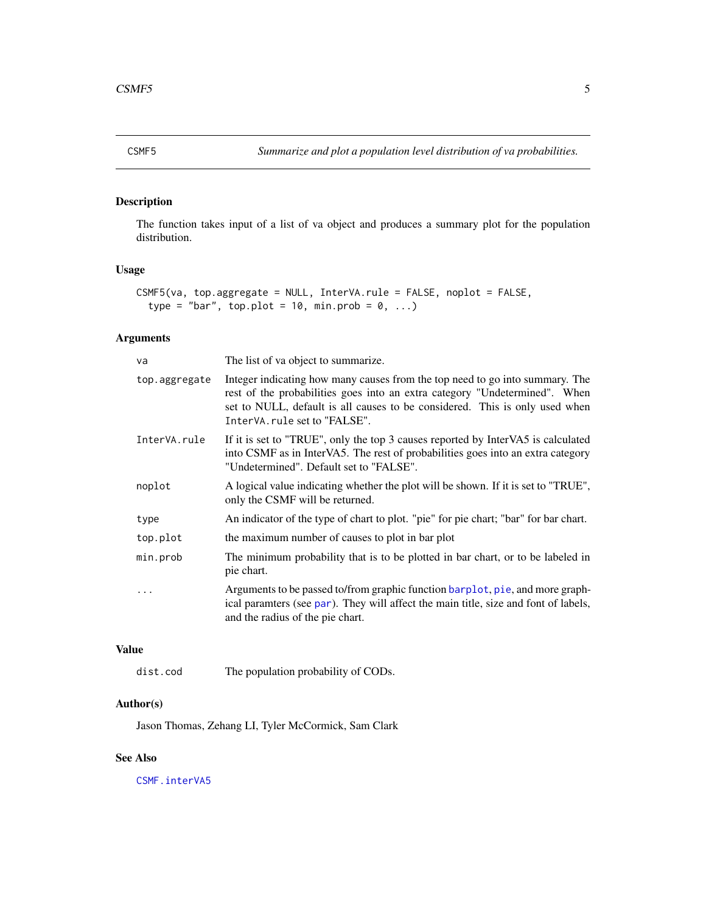<span id="page-4-1"></span><span id="page-4-0"></span>

The function takes input of a list of va object and produces a summary plot for the population distribution.

#### Usage

```
CSMF5(va, top.aggregate = NULL, InterVA.rule = FALSE, noplot = FALSE,
  type = "bar", top.plot = 10, min.prob = 0, ...)
```
# Arguments

| The list of va object to summarize.                                                                                                                                                                                                                                       |
|---------------------------------------------------------------------------------------------------------------------------------------------------------------------------------------------------------------------------------------------------------------------------|
| Integer indicating how many causes from the top need to go into summary. The<br>rest of the probabilities goes into an extra category "Undetermined". When<br>set to NULL, default is all causes to be considered. This is only used when<br>InterVA.rule set to "FALSE". |
| If it is set to "TRUE", only the top 3 causes reported by InterVA5 is calculated<br>into CSMF as in InterVA5. The rest of probabilities goes into an extra category<br>"Undetermined". Default set to "FALSE".                                                            |
| A logical value indicating whether the plot will be shown. If it is set to "TRUE",<br>only the CSMF will be returned.                                                                                                                                                     |
| An indicator of the type of chart to plot. "pie" for pie chart; "bar" for bar chart.                                                                                                                                                                                      |
| the maximum number of causes to plot in bar plot                                                                                                                                                                                                                          |
| The minimum probability that is to be plotted in bar chart, or to be labeled in<br>pie chart.                                                                                                                                                                             |
| Arguments to be passed to/from graphic function barplot, pie, and more graph-<br>ical paramters (see par). They will affect the main title, size and font of labels,<br>and the radius of the pie chart.                                                                  |
|                                                                                                                                                                                                                                                                           |

# Value

dist.cod The population probability of CODs.

# Author(s)

Jason Thomas, Zehang LI, Tyler McCormick, Sam Clark

# See Also

[CSMF.interVA5](#page-3-1)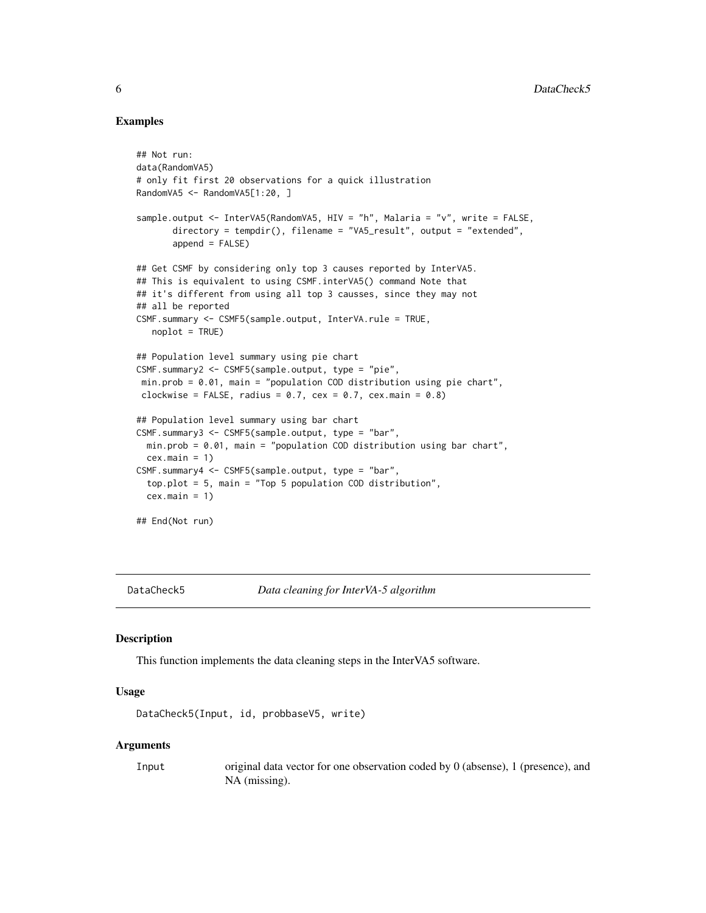# Examples

```
## Not run:
data(RandomVA5)
# only fit first 20 observations for a quick illustration
RandomVA5 <- RandomVA5[1:20, ]
sample.output <- InterVA5(RandomVA5, HIV = "h", Malaria = "v", write = FALSE,
      directory = tempdir(), filename = "VA5_result", output = "extended",
      append = FALSE)## Get CSMF by considering only top 3 causes reported by InterVA5.
## This is equivalent to using CSMF.interVA5() command Note that
## it's different from using all top 3 causses, since they may not
## all be reported
CSMF.summary <- CSMF5(sample.output, InterVA.rule = TRUE,
  noplot = TRUE)
## Population level summary using pie chart
CSMF.summary2 <- CSMF5(sample.output, type = "pie",
min.prob = 0.01, main = "population COD distribution using pie chart",
clockwise = FALSE, radius = 0.7, cex = 0.7, cex.main = 0.8)
## Population level summary using bar chart
CSMF.summary3 <- CSMF5(sample.output, type = "bar",
 min.prob = 0.01, main = "population COD distribution using bar chart",
 cex.mainloop = 1)CSMF.summary4 <- CSMF5(sample.output, type = "bar",
 top.plot = 5, main = "Top 5 population COD distribution",
 cex.mainloop = 1)## End(Not run)
```
DataCheck5 *Data cleaning for InterVA-5 algorithm*

#### Description

This function implements the data cleaning steps in the InterVA5 software.

#### Usage

```
DataCheck5(Input, id, probbaseV5, write)
```
#### Arguments

Input original data vector for one observation coded by 0 (absense), 1 (presence), and NA (missing).

<span id="page-5-0"></span>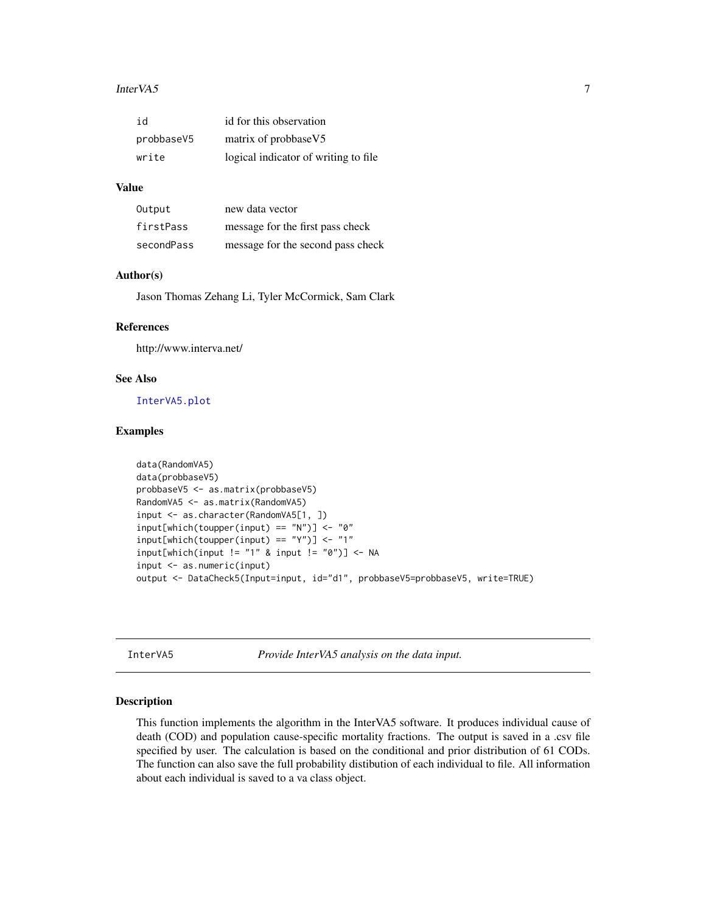#### <span id="page-6-0"></span>InterVA5 7

| id         | id for this observation               |
|------------|---------------------------------------|
| probbaseV5 | matrix of probbaseV5                  |
| write      | logical indicator of writing to file. |

### Value

| Output     | new data vector                   |
|------------|-----------------------------------|
| firstPass  | message for the first pass check  |
| secondPass | message for the second pass check |

#### Author(s)

Jason Thomas Zehang Li, Tyler McCormick, Sam Clark

### References

http://www.interva.net/

#### See Also

[InterVA5.plot](#page-9-1)

#### Examples

```
data(RandomVA5)
data(probbaseV5)
probbaseV5 <- as.matrix(probbaseV5)
RandomVA5 <- as.matrix(RandomVA5)
input <- as.character(RandomVA5[1, ])
input[which(toupper(input) == "N")] < - "0"input[which(toupper(input) == "Y")] <- "1"
input[which(input != "1" &amp; input != "0")] < -NAinput <- as.numeric(input)
output <- DataCheck5(Input=input, id="d1", probbaseV5=probbaseV5, write=TRUE)
```
InterVA5 *Provide InterVA5 analysis on the data input.*

#### Description

This function implements the algorithm in the InterVA5 software. It produces individual cause of death (COD) and population cause-specific mortality fractions. The output is saved in a .csv file specified by user. The calculation is based on the conditional and prior distribution of 61 CODs. The function can also save the full probability distibution of each individual to file. All information about each individual is saved to a va class object.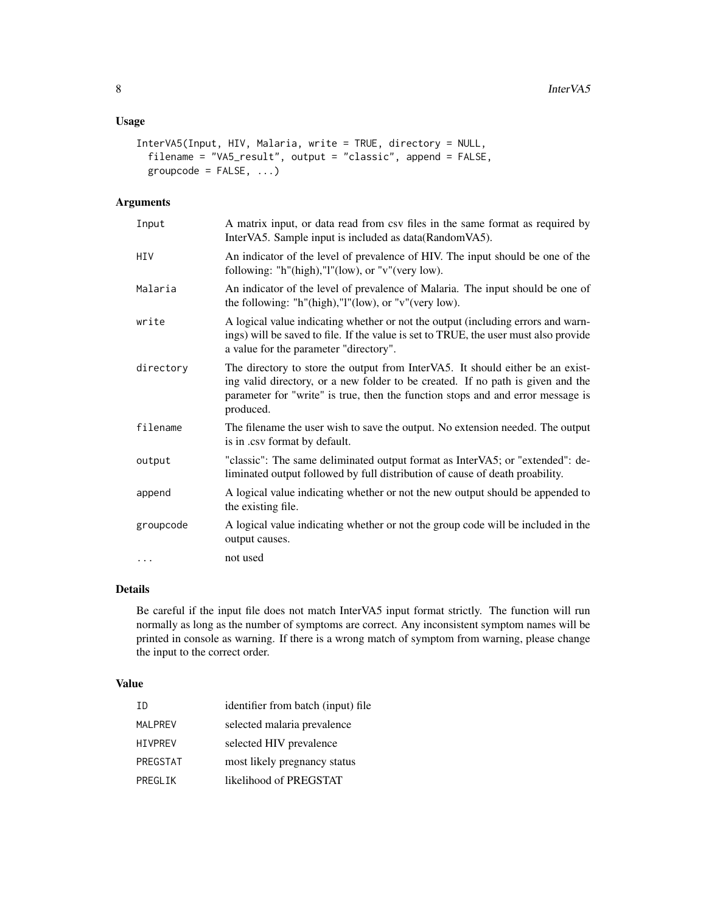# Usage

```
InterVA5(Input, HIV, Malaria, write = TRUE, directory = NULL,
 filename = "VA5_result", output = "classic", append = FALSE,
 groupcode = FALSE, ...)
```
# Arguments

| Input     | A matrix input, or data read from csv files in the same format as required by<br>InterVA5. Sample input is included as data(RandomVA5).                                                                                                                           |
|-----------|-------------------------------------------------------------------------------------------------------------------------------------------------------------------------------------------------------------------------------------------------------------------|
| HIV       | An indicator of the level of prevalence of HIV. The input should be one of the<br>following: "h"(high),"l"(low), or "v"(very low).                                                                                                                                |
| Malaria   | An indicator of the level of prevalence of Malaria. The input should be one of<br>the following: "h"(high)," $l$ "(low), or "v"(very low).                                                                                                                        |
| write     | A logical value indicating whether or not the output (including errors and warn-<br>ings) will be saved to file. If the value is set to TRUE, the user must also provide<br>a value for the parameter "directory".                                                |
| directory | The directory to store the output from InterVA5. It should either be an exist-<br>ing valid directory, or a new folder to be created. If no path is given and the<br>parameter for "write" is true, then the function stops and and error message is<br>produced. |
| filename  | The filename the user wish to save the output. No extension needed. The output<br>is in .csv format by default.                                                                                                                                                   |
| output    | "classic": The same deliminated output format as InterVA5; or "extended": de-<br>liminated output followed by full distribution of cause of death proability.                                                                                                     |
| append    | A logical value indicating whether or not the new output should be appended to<br>the existing file.                                                                                                                                                              |
| groupcode | A logical value indicating whether or not the group code will be included in the<br>output causes.                                                                                                                                                                |
| .         | not used                                                                                                                                                                                                                                                          |

# Details

Be careful if the input file does not match InterVA5 input format strictly. The function will run normally as long as the number of symptoms are correct. Any inconsistent symptom names will be printed in console as warning. If there is a wrong match of symptom from warning, please change the input to the correct order.

# Value

| TD.            | identifier from batch (input) file |
|----------------|------------------------------------|
| <b>MALPREV</b> | selected malaria prevalence        |
| <b>HIVPREV</b> | selected HIV prevalence            |
| PREGSTAT       | most likely pregnancy status       |
| PREGLIK        | likelihood of PREGSTAT             |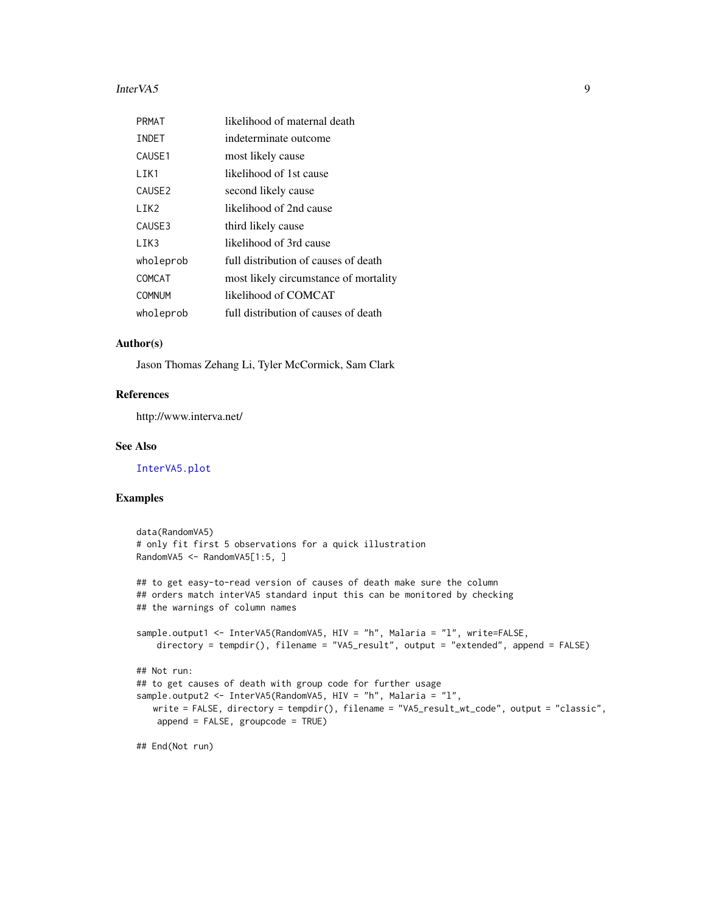#### <span id="page-8-0"></span>InterVA5 9

| PRMAT              | likelihood of maternal death          |
|--------------------|---------------------------------------|
| INDET              | indeterminate outcome                 |
| CAUSE1             | most likely cause                     |
| LIK1               | likelihood of 1st cause               |
| CAUSE <sub>2</sub> | second likely cause                   |
| LIK <sub>2</sub>   | likelihood of 2nd cause               |
| CAUSE3             | third likely cause                    |
| LIK3               | likelihood of 3rd cause               |
| wholeprob          | full distribution of causes of death  |
| COMCAT             | most likely circumstance of mortality |
| <b>COMNUM</b>      | likelihood of COMCAT                  |
| wholeprob          | full distribution of causes of death  |

#### Author(s)

Jason Thomas Zehang Li, Tyler McCormick, Sam Clark

#### References

http://www.interva.net/

# See Also

[InterVA5.plot](#page-9-1)

### Examples

```
data(RandomVA5)
# only fit first 5 observations for a quick illustration
RandomVA5 <- RandomVA5[1:5, ]
## to get easy-to-read version of causes of death make sure the column
## orders match interVA5 standard input this can be monitored by checking
## the warnings of column names
sample.output1 <- InterVA5(RandomVA5, HIV = "h", Malaria = "l", write=FALSE,
    directory = tempdir(), filename = "VA5_result", output = "extended", append = FALSE)
## Not run:
## to get causes of death with group code for further usage
sample.output2 <- InterVA5(RandomVA5, HIV = "h", Malaria = "l",
   write = FALSE, directory = tempdir(), filename = "VA5_result_wt_code", output = "classic",
   append = FALSE, groupcode = TRUE)
```
## End(Not run)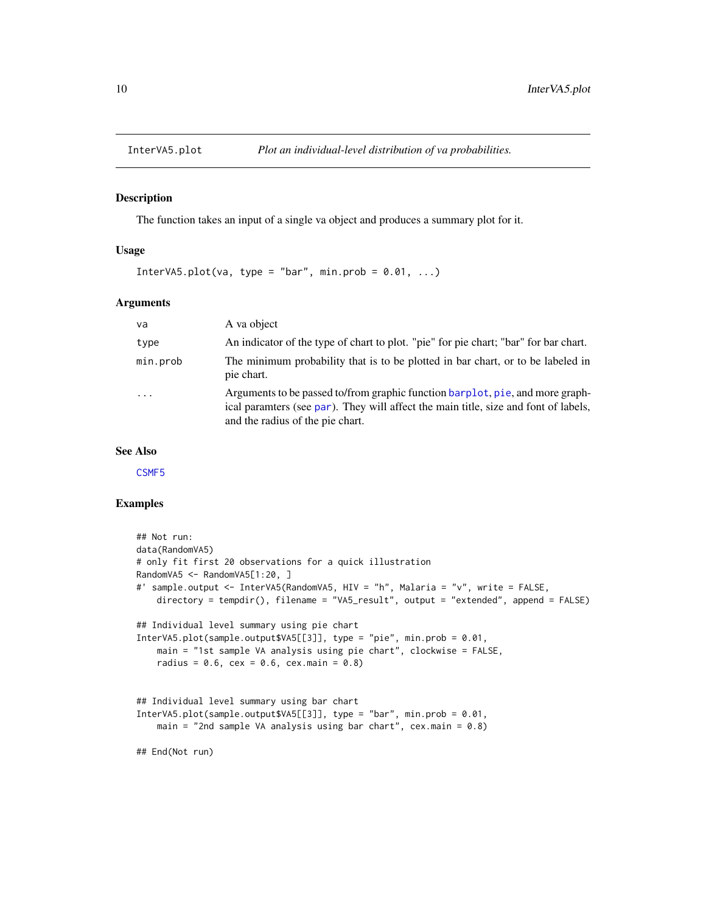<span id="page-9-1"></span><span id="page-9-0"></span>

The function takes an input of a single va object and produces a summary plot for it.

#### Usage

InterVA5.plot(va, type = "bar", min.prob =  $0.01, ...$ )

#### Arguments

| va        | A va object                                                                                                                                                                                              |
|-----------|----------------------------------------------------------------------------------------------------------------------------------------------------------------------------------------------------------|
| type      | An indicator of the type of chart to plot. "pie" for pie chart; "bar" for bar chart.                                                                                                                     |
| min.prob  | The minimum probability that is to be plotted in bar chart, or to be labeled in<br>pie chart.                                                                                                            |
| $\ddotsc$ | Arguments to be passed to/from graphic function barplot, pie, and more graph-<br>ical paramters (see par). They will affect the main title, size and font of labels,<br>and the radius of the pie chart. |

# See Also

[CSMF5](#page-4-1)

#### Examples

```
## Not run:
data(RandomVA5)
# only fit first 20 observations for a quick illustration
RandomVA5 <- RandomVA5[1:20, ]
#' sample.output <- InterVA5(RandomVA5, HIV = "h", Malaria = "v", write = FALSE,
    directory = tempdir(), filename = "VA5_result", output = "extended", append = FALSE)
## Individual level summary using pie chart
InterVA5.plot(sample.output$VA5[[3]], type = "pie", min.prob = 0.01,
    main = "1st sample VA analysis using pie chart", clockwise = FALSE,
    radius = 0.6, cex = 0.6, cex.main = 0.8)
## Individual level summary using bar chart
InterVA5.plot(sample.output$VA5[[3]], type = "bar", min.prob = 0.01,
   main = "2nd sample VA analysis using bar chart", cex.mainloop = 0.8)
## End(Not run)
```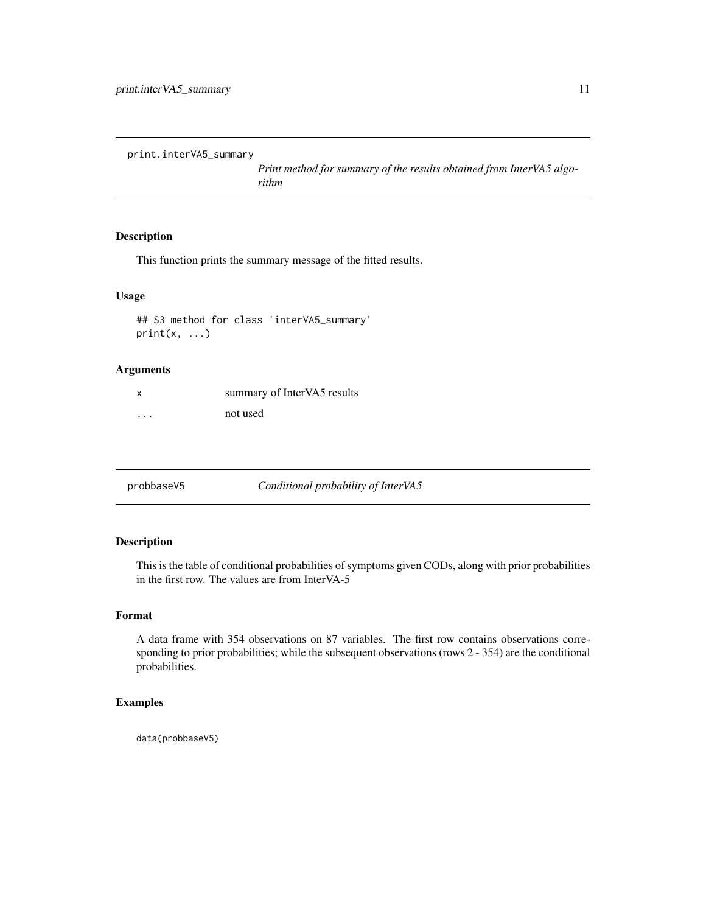<span id="page-10-0"></span>print.interVA5\_summary

*Print method for summary of the results obtained from InterVA5 algorithm*

# Description

This function prints the summary message of the fitted results.

#### Usage

## S3 method for class 'interVA5\_summary'  $print(x, \ldots)$ 

# Arguments

| X                       | summary of InterVA5 results |
|-------------------------|-----------------------------|
| $\cdot$ $\cdot$ $\cdot$ | not used                    |

probbaseV5 *Conditional probability of InterVA5*

# Description

This is the table of conditional probabilities of symptoms given CODs, along with prior probabilities in the first row. The values are from InterVA-5

# Format

A data frame with 354 observations on 87 variables. The first row contains observations corresponding to prior probabilities; while the subsequent observations (rows 2 - 354) are the conditional probabilities.

# Examples

data(probbaseV5)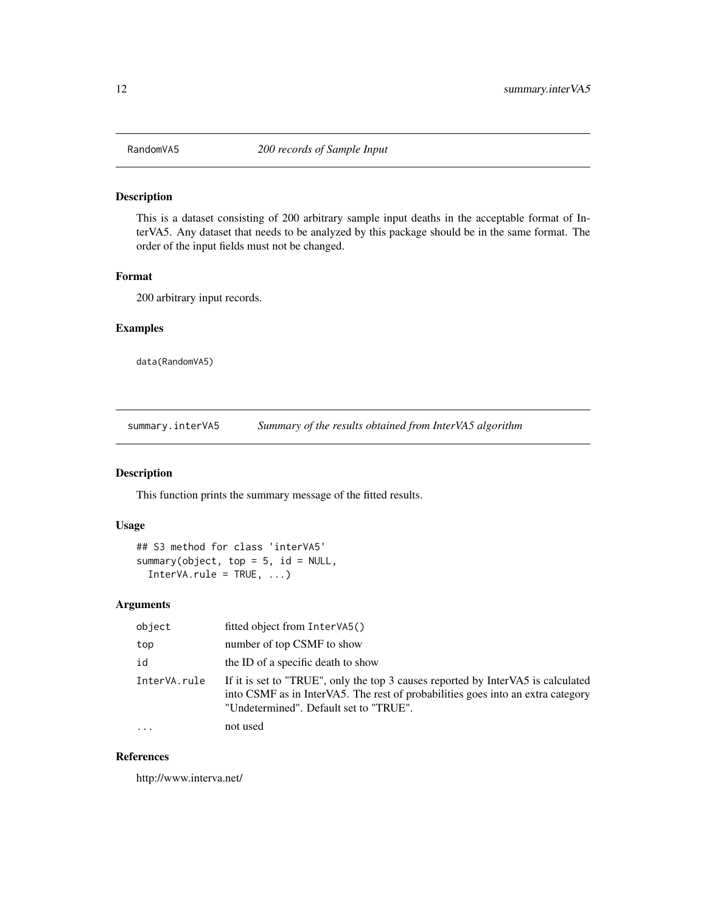<span id="page-11-0"></span>

This is a dataset consisting of 200 arbitrary sample input deaths in the acceptable format of InterVA5. Any dataset that needs to be analyzed by this package should be in the same format. The order of the input fields must not be changed.

# Format

200 arbitrary input records.

#### Examples

data(RandomVA5)

summary.interVA5 *Summary of the results obtained from InterVA5 algorithm*

# Description

This function prints the summary message of the fitted results.

#### Usage

```
## S3 method for class 'interVA5'
summary(object, top = 5, id = NULL,
  InterVA.rule = TRUE, ...)
```
# Arguments

| object       | fitted object from InterVA5()                                                                                                                                                                                 |  |
|--------------|---------------------------------------------------------------------------------------------------------------------------------------------------------------------------------------------------------------|--|
| top          | number of top CSMF to show                                                                                                                                                                                    |  |
| id           | the ID of a specific death to show                                                                                                                                                                            |  |
| InterVA.rule | If it is set to "TRUE", only the top 3 causes reported by InterVA5 is calculated<br>into CSMF as in InterVA5. The rest of probabilities goes into an extra category<br>"Undetermined". Default set to "TRUE". |  |
| $\cdots$     | not used                                                                                                                                                                                                      |  |

# References

http://www.interva.net/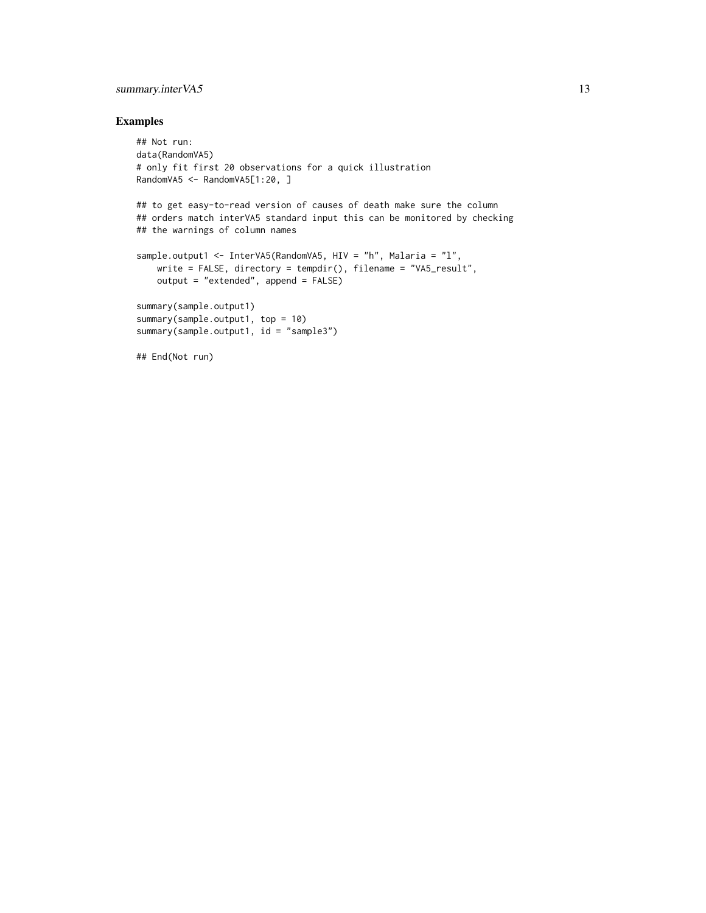# summary.interVA5 13

# Examples

```
## Not run:
data(RandomVA5)
# only fit first 20 observations for a quick illustration
RandomVA5 <- RandomVA5[1:20, ]
## to get easy-to-read version of causes of death make sure the column
## orders match interVA5 standard input this can be monitored by checking
## the warnings of column names
sample.output1 <- InterVA5(RandomVA5, HIV = "h", Malaria = "l",
    write = FALSE, directory = tempdir(), filename = "VA5_result",
    output = "extended", append = FALSE)
summary(sample.output1)
summary(sample.output1, top = 10)
summary(sample.output1, id = "sample3")
## End(Not run)
```